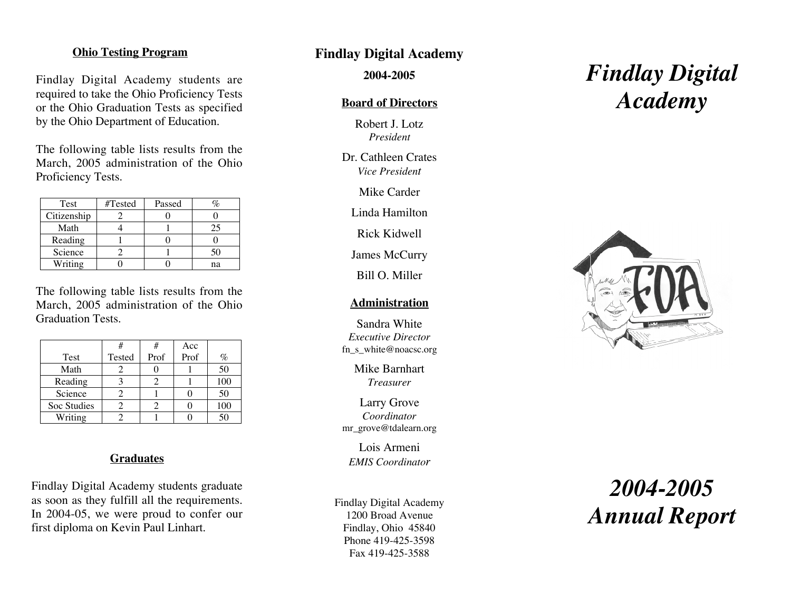## **Ohio Testing Program**

Findlay Digital Academy students are required to take the Ohio Proficiency Tests or the Ohio Graduation Tests as specified by the Ohio Department of Education.

The following table lists results from the March, 2005 administration of the Ohio Proficiency Tests.

| Test        | #Tested | Passed |    |
|-------------|---------|--------|----|
| Citizenship |         |        |    |
| Math        |         |        | 25 |
| Reading     |         |        |    |
| Science     |         |        | 50 |
| Writing     |         |        | nа |

The following table lists results from the March, 2005 administration of the Ohio Graduation Tests.

|             | #      | #    | Acc  |     |
|-------------|--------|------|------|-----|
| Test        | Tested | Prof | Prof | %   |
| Math        |        |      |      | 50  |
| Reading     |        |      |      | 100 |
| Science     |        |      |      | 50  |
| Soc Studies |        |      |      | 100 |
| Writing     |        |      |      |     |

#### **Graduates**

Findlay Digital Academy students graduate as soon as they fulfill all the requirements. In 2004-05, we were proud to confer our first diploma on Kevin Paul Linhart.

## **Findlay Digital Academy**

**2004-2005**

## **Board of Directors**

Robert J. Lotz *President*

Dr. Cathleen Crates *Vice Presiden t*

Mike Carder

Linda Hamilton

Rick Kidwell

James McCurry

Bill O. Miller

## **Administration**

Sandra White *Executive Director* fn\_s\_white@noacsc.org

> Mike Barnhart *Treasurer*

Larry Grove *Coordinator* mr\_grove@tdalearn.org

Lois Armeni *EMIS Coordinato r*

Findlay Digital Academy 1200 Broad Avenue Findlay, Ohio 45840 Phone 419-425-3598 Fax 419-425-3588

# *Findlay Digital Academy*



## *2004-2005 Annual Report*